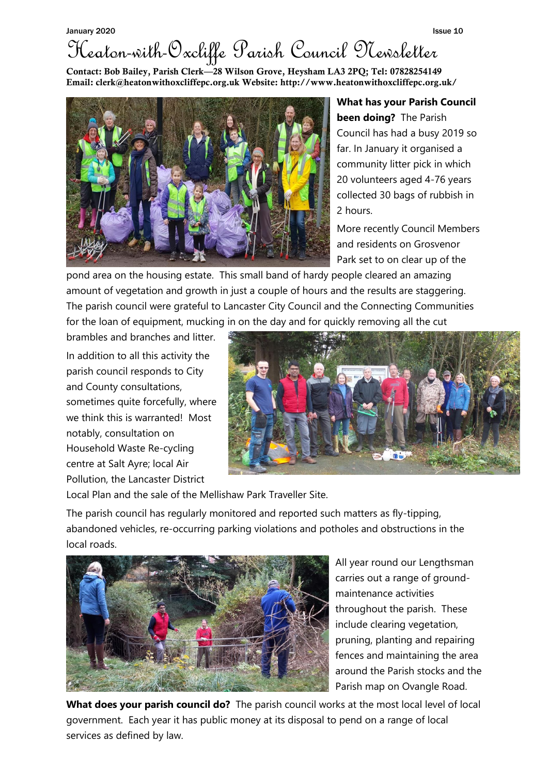## January 2020 **Issue 10** Heaton-with-Oxcliffe Parish Council Newsletter

Contact: Bob Bailey, Parish Clerk—28 Wilson Grove, Heysham LA3 2PQ; Tel: 07828254149 Email: clerk@heatonwithoxcliffepc.org.uk Website: http://www.heatonwithoxcliffepc.org.uk/



**What has your Parish Council been doing?** The Parish Council has had a busy 2019 so far. In January it organised a community litter pick in which 20 volunteers aged 4-76 years collected 30 bags of rubbish in 2 hours.

More recently Council Members and residents on Grosvenor Park set to on clear up of the

pond area on the housing estate. This small band of hardy people cleared an amazing amount of vegetation and growth in just a couple of hours and the results are staggering. The parish council were grateful to Lancaster City Council and the Connecting Communities for the loan of equipment, mucking in on the day and for quickly removing all the cut

brambles and branches and litter. In addition to all this activity the parish council responds to City and County consultations, sometimes quite forcefully, where we think this is warranted! Most notably, consultation on Household Waste Re-cycling centre at Salt Ayre; local Air Pollution, the Lancaster District



Local Plan and the sale of the Mellishaw Park Traveller Site.

The parish council has regularly monitored and reported such matters as fly-tipping, abandoned vehicles, re-occurring parking violations and potholes and obstructions in the local roads.



All year round our Lengthsman carries out a range of groundmaintenance activities throughout the parish. These include clearing vegetation, pruning, planting and repairing fences and maintaining the area around the Parish stocks and the Parish map on Ovangle Road.

**What does your parish council do?** The parish council works at the most local level of local government. Each year it has public money at its disposal to pend on a range of local services as defined by law.